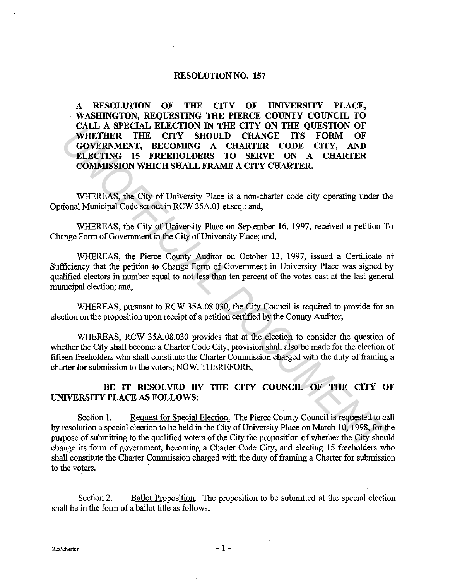#### RESOLUTION NO. 157

A RESOLUTION OF THE CITY OF UNIVERSITY PLACE, WASHINGTON, REQUESTING THE PIERCE COUNTY COUNCIL TO CALL A SPECIAL ELECTION IN THE CITY ON THE QUESTION OF WHETHER THE CITY SHOULD CHANGE ITS FORM OF GOVERNMENT, BECOMING A CHARTER CODE CITY, AND ELECTING 15 FREEHOLDERS TO SERVE ON A CHARTER COMMISSION WHICH SHALL FRAME A CITY CHARTER. VARIENT A STENCHAL BEAT TO THE CITY SHOULD CHANGE ITS FORM OF COVERNMENT BECOMING A CHARTER CODE CHANGE TO SERVE ON A CHARTER COMINISSION WHICH SHALL FRAME A CITY, SAND COVERNMENT CONDULATION CHANGE TO SERVE ON A CHARTER C

WHEREAS, the City of University Place is a non-charter code city operating under the Optional Municipal Code set out in RCW 35A.01 et.seq.; and,

WHEREAS, the City of University Place on September 16, 1997, received a petition To Change Form of Government in the City of University Place; and,

WHEREAS, the Pierce County Auditor on October 13, 1997, issued a Certificate of Sufficiency that the petition to Change Form of Government in University Place was signed by qualified electors in number equal to not less than ten percent of the votes cast at the last general municipal election; and,

WHEREAS, pursuant to RCW 35A.08.030, the City Council is required to provide for an election on the proposition upon receipt of a petition certified by the County Auditor;

WHEREAS, RCW 35A.08.030 provides that at the election to consider the question of whether the City shall become a Charter Code City, provision shall also be made for the election of fifteen freeholders who shall constitute the Charter Commission charged with the duty of framing a charter for submission to the voters; NOW, THEREFORE,

## BE IT RESOLVED BY THE CITY COUNCIL OF THE CITY OF UNIVERSITY PLACE AS FOLLOWS:

Section 1. Request for Special Election. The Pierce County Council is requested to call by resolution a special election to be held in the City of University Place on March 10, 1998, for the purpose of submitting to the qualified voters of the City the proposition of whether the City should change its form of government, becoming a Charter Code City, and electing 15 freeholders who shall constitute the Charter Commission charged with the duty of framing a Charter for submission to the voters.

Section 2. Ballot Proposition. The proposition to be submitted at the special election shall be in the form of a ballot title as follows: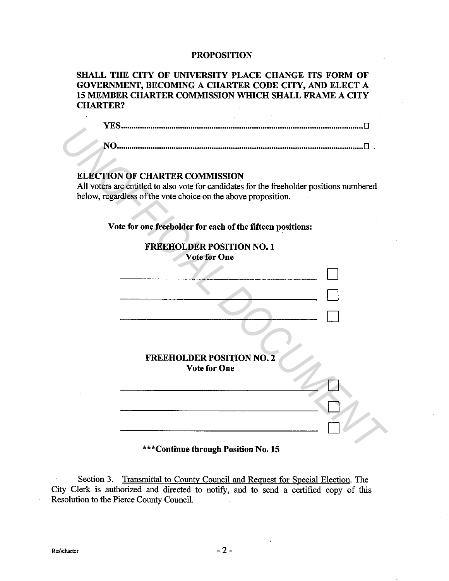#### PROPOSITION

SHALL THE CITY OF UNIVERSITY PLACE CHANGE ITS FORM OF GOVERNMENT, BECOMING A CHARTER CODE CITY, AND ELECT A 15 MEMBER CHARTER COMMISSION WHICH SHALL FRAME A CITY CHARTER?

**YES .................................................................................................................. D** 

NO .................................................................................................................... D .

### ELECTION OF CHARTER COMMISSION

All voters are entitled to also vote for candidates for the freeholder positions numbered below, regardless of the vote choice on the above proposition.



\*\*\*Continue through Position No. 15

Section 3. Transmittal to County Council and Request for Special Election. The City Clerk is authorized and directed to notify, and to send a certified copy of this Resolution to the Pierce County Council.